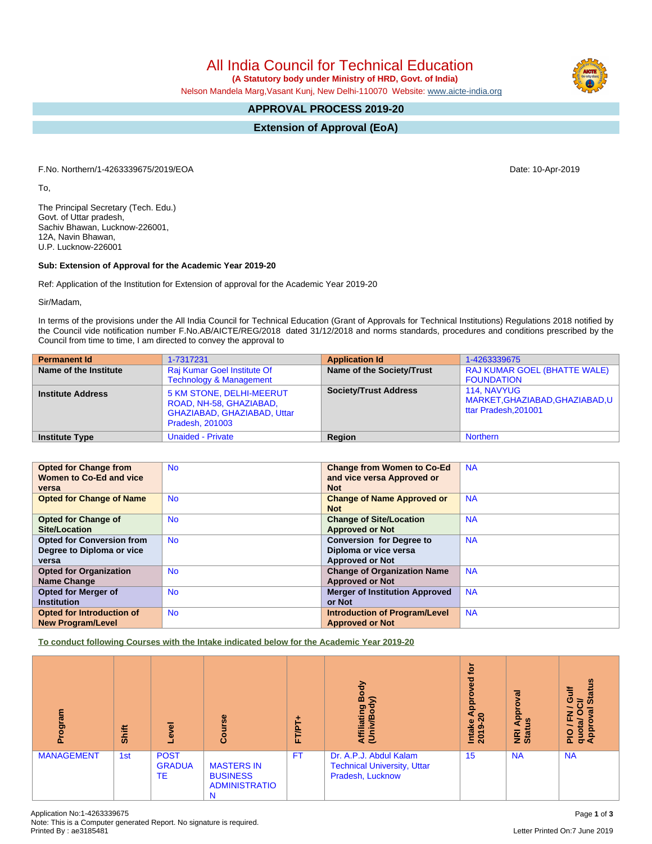All India Council for Technical Education

 **(A Statutory body under Ministry of HRD, Govt. of India)**

Nelson Mandela Marg,Vasant Kunj, New Delhi-110070 Website: [www.aicte-india.org](http://www.aicte-india.org)

# **APPROVAL PROCESS 2019-20**

**Extension of Approval (EoA)**

F.No. Northern/1-4263339675/2019/EOA Date: 10-Apr-2019

To,

The Principal Secretary (Tech. Edu.) Govt. of Uttar pradesh, Sachiv Bhawan, Lucknow-226001, 12A, Navin Bhawan, U.P. Lucknow-226001

### **Sub: Extension of Approval for the Academic Year 2019-20**

Ref: Application of the Institution for Extension of approval for the Academic Year 2019-20

Sir/Madam,

In terms of the provisions under the All India Council for Technical Education (Grant of Approvals for Technical Institutions) Regulations 2018 notified by the Council vide notification number F.No.AB/AICTE/REG/2018 dated 31/12/2018 and norms standards, procedures and conditions prescribed by the Council from time to time, I am directed to convey the approval to

| <b>Permanent Id</b>      | 1-7317231                                                                                             | <b>Application Id</b>        | 1-4263339675                                                                 |
|--------------------------|-------------------------------------------------------------------------------------------------------|------------------------------|------------------------------------------------------------------------------|
| Name of the Institute    | Raj Kumar Goel Institute Of<br><b>Technology &amp; Management</b>                                     | Name of the Society/Trust    | <b>RAJ KUMAR GOEL (BHATTE WALE)</b><br><b>FOUNDATION</b>                     |
| <b>Institute Address</b> | 5 KM STONE, DELHI-MEERUT<br>ROAD, NH-58, GHAZIABAD,<br>GHAZIABAD, GHAZIABAD, Uttar<br>Pradesh, 201003 | <b>Society/Trust Address</b> | <b>114. NAVYUG</b><br>MARKET, GHAZIABAD, GHAZIABAD, U<br>ttar Pradesh.201001 |
| <b>Institute Type</b>    | <b>Unaided - Private</b>                                                                              | Region                       | <b>Northern</b>                                                              |

| <b>Opted for Change from</b>     | <b>No</b> | <b>Change from Women to Co-Ed</b>     | <b>NA</b> |
|----------------------------------|-----------|---------------------------------------|-----------|
| Women to Co-Ed and vice          |           | and vice versa Approved or            |           |
| versa                            |           | <b>Not</b>                            |           |
| <b>Opted for Change of Name</b>  | <b>No</b> | <b>Change of Name Approved or</b>     | <b>NA</b> |
|                                  |           | <b>Not</b>                            |           |
| <b>Opted for Change of</b>       | <b>No</b> | <b>Change of Site/Location</b>        | <b>NA</b> |
| <b>Site/Location</b>             |           | <b>Approved or Not</b>                |           |
| <b>Opted for Conversion from</b> | <b>No</b> | <b>Conversion for Degree to</b>       | <b>NA</b> |
| Degree to Diploma or vice        |           | Diploma or vice versa                 |           |
| versa                            |           | <b>Approved or Not</b>                |           |
| <b>Opted for Organization</b>    | <b>No</b> | <b>Change of Organization Name</b>    | <b>NA</b> |
| Name Change                      |           | <b>Approved or Not</b>                |           |
| <b>Opted for Merger of</b>       | <b>No</b> | <b>Merger of Institution Approved</b> | <b>NA</b> |
| <b>Institution</b>               |           | or Not                                |           |
| <b>Opted for Introduction of</b> | <b>No</b> | <b>Introduction of Program/Level</b>  | <b>NA</b> |
| <b>New Program/Level</b>         |           | <b>Approved or Not</b>                |           |

**To conduct following Courses with the Intake indicated below for the Academic Year 2019-20**

| mel<br>iĝo,<br>ā  | Shift | g<br>ق                             | Course                                                            | <b>FT/PT</b> | Body<br>$\hat{z}$<br>Affiliating<br>(Univ/Body                                   | tor<br>g<br>Ö<br>Appr<br>$\circ$<br>್<br><b>Intake</b><br>2019-2 | $\overline{\mathfrak{a}}$<br>၀<br>Appl<br><u>u</u> s<br>NRI<br>Statu | U)<br><b>Gulf</b><br>Stat<br>⋍<br>ത<br>z<br>щ<br>ω<br><u>pp</u><br>quot<br>App<br>$\frac{1}{2}$ |
|-------------------|-------|------------------------------------|-------------------------------------------------------------------|--------------|----------------------------------------------------------------------------------|------------------------------------------------------------------|----------------------------------------------------------------------|-------------------------------------------------------------------------------------------------|
| <b>MANAGEMENT</b> | 1st   | <b>POST</b><br><b>GRADUA</b><br>TE | <b>MASTERS IN</b><br><b>BUSINESS</b><br><b>ADMINISTRATIO</b><br>N | FT.          | Dr. A.P.J. Abdul Kalam<br><b>Technical University, Uttar</b><br>Pradesh, Lucknow | 15                                                               | <b>NA</b>                                                            | <b>NA</b>                                                                                       |

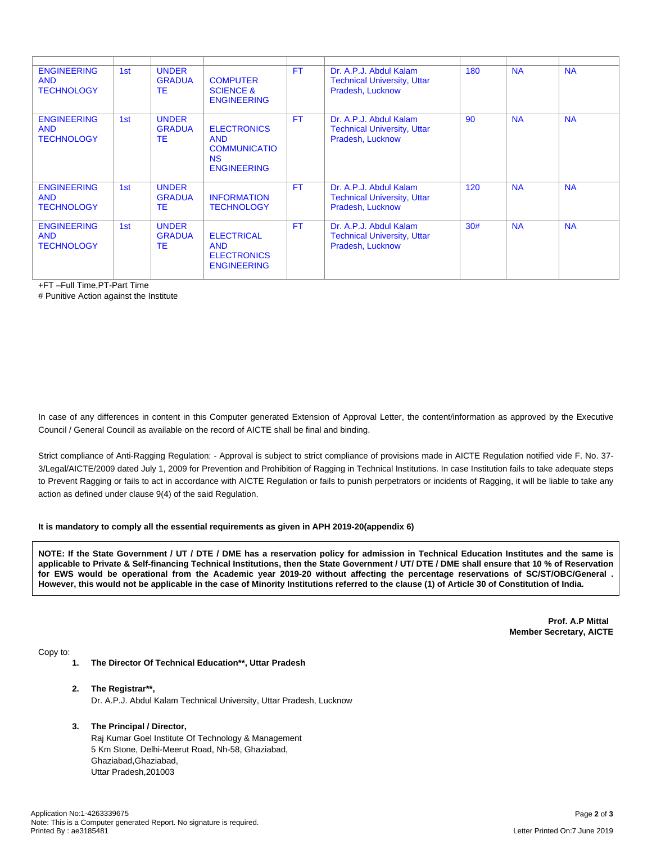| <b>ENGINEERING</b><br><b>AND</b><br><b>TECHNOLOGY</b> | 1st | <b>UNDER</b><br><b>GRADUA</b><br>TE  | <b>COMPUTER</b><br><b>SCIENCE &amp;</b><br><b>ENGINEERING</b>                        | <b>FT</b> | Dr. A.P.J. Abdul Kalam<br><b>Technical University, Uttar</b><br>Pradesh, Lucknow | 180 | <b>NA</b> | <b>NA</b> |
|-------------------------------------------------------|-----|--------------------------------------|--------------------------------------------------------------------------------------|-----------|----------------------------------------------------------------------------------|-----|-----------|-----------|
| <b>ENGINEERING</b><br><b>AND</b><br><b>TECHNOLOGY</b> | 1st | <b>UNDER</b><br><b>GRADUA</b><br>TE. | <b>ELECTRONICS</b><br><b>AND</b><br><b>COMMUNICATIO</b><br>NS.<br><b>ENGINEERING</b> | <b>FT</b> | Dr. A.P.J. Abdul Kalam<br><b>Technical University, Uttar</b><br>Pradesh, Lucknow | 90  | <b>NA</b> | <b>NA</b> |
| <b>ENGINEERING</b><br><b>AND</b><br><b>TECHNOLOGY</b> | 1st | <b>UNDER</b><br><b>GRADUA</b><br>TE. | <b>INFORMATION</b><br><b>TECHNOLOGY</b>                                              | <b>FT</b> | Dr. A.P.J. Abdul Kalam<br><b>Technical University, Uttar</b><br>Pradesh, Lucknow | 120 | <b>NA</b> | <b>NA</b> |
| <b>ENGINEERING</b><br><b>AND</b><br><b>TECHNOLOGY</b> | 1st | <b>UNDER</b><br><b>GRADUA</b><br>TF  | <b>ELECTRICAL</b><br><b>AND</b><br><b>ELECTRONICS</b><br><b>ENGINEERING</b>          | <b>FT</b> | Dr. A.P.J. Abdul Kalam<br><b>Technical University, Uttar</b><br>Pradesh, Lucknow | 30# | <b>NA</b> | <b>NA</b> |

+FT –Full Time,PT-Part Time

# Punitive Action against the Institute

In case of any differences in content in this Computer generated Extension of Approval Letter, the content/information as approved by the Executive Council / General Council as available on the record of AICTE shall be final and binding.

Strict compliance of Anti-Ragging Regulation: - Approval is subject to strict compliance of provisions made in AICTE Regulation notified vide F. No. 37- 3/Legal/AICTE/2009 dated July 1, 2009 for Prevention and Prohibition of Ragging in Technical Institutions. In case Institution fails to take adequate steps to Prevent Ragging or fails to act in accordance with AICTE Regulation or fails to punish perpetrators or incidents of Ragging, it will be liable to take any action as defined under clause 9(4) of the said Regulation.

**It is mandatory to comply all the essential requirements as given in APH 2019-20(appendix 6)**

NOTE: If the State Government / UT / DTE / DME has a reservation policy for admission in Technical Education Institutes and the same is applicable to Private & Self-financing Technical Institutions, then the State Government / UT/ DTE / DME shall ensure that 10 % of Reservation for EWS would be operational from the Academic year 2019-20 without affecting the percentage reservations of SC/ST/OBC/General. However, this would not be applicable in the case of Minority Institutions referred to the clause (1) of Article 30 of Constitution of India.

> **Prof. A.P Mittal Member Secretary, AICTE**

Copy to:

- **1. The Director Of Technical Education\*\*, Uttar Pradesh**
- **2. The Registrar\*\*,** Dr. A.P.J. Abdul Kalam Technical University, Uttar Pradesh, Lucknow

## **3. The Principal / Director,**

Raj Kumar Goel Institute Of Technology & Management 5 Km Stone, Delhi-Meerut Road, Nh-58, Ghaziabad, Ghaziabad,Ghaziabad, Uttar Pradesh,201003